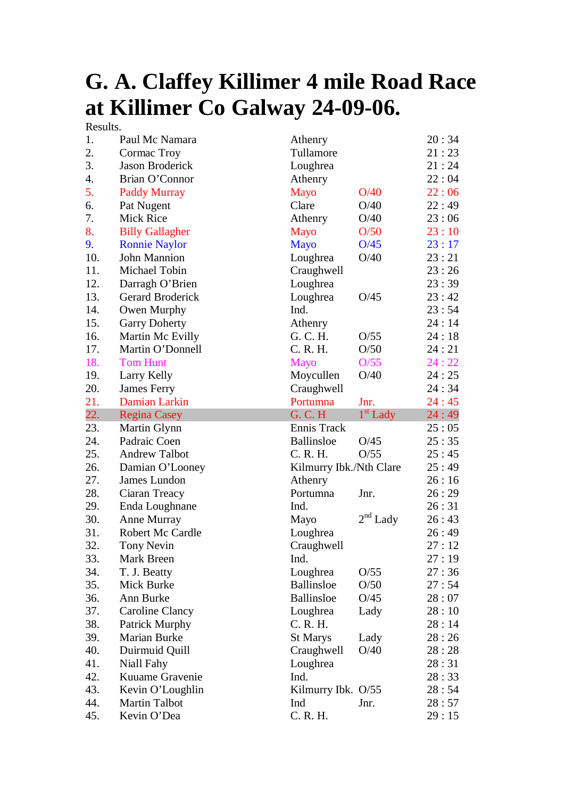## **G. A. Claffey Killimer 4 mile Road Race at Killimer Co Galway 24-09-06.**

Results.

| 1.  | Paul Mc Namara         | Athenry                 |                      | 20:34 |
|-----|------------------------|-------------------------|----------------------|-------|
| 2.  | Cormac Troy            | Tullamore               |                      | 21:23 |
| 3.  | Jason Broderick        | Loughrea                |                      | 21:24 |
| 4.  | Brian O'Connor         | Athenry                 |                      | 22:04 |
| 5.  | <b>Paddy Murray</b>    | Mayo                    | O/40                 | 22:06 |
| 6.  | Pat Nugent             | Clare                   | O/40                 | 22:49 |
| 7.  | Mick Rice              | Athenry                 | O/40                 | 23:06 |
| 8.  | <b>Billy Gallagher</b> | <b>Mayo</b>             | O/50                 | 23:10 |
| 9.  | <b>Ronnie Naylor</b>   | <b>Mayo</b>             | O/45                 | 23:17 |
| 10. | John Mannion           | Loughrea                | O/40                 | 23:21 |
| 11. | Michael Tobin          | Craughwell              |                      | 23:26 |
| 12. | Darragh O'Brien        | Loughrea                |                      | 23:39 |
| 13. | Gerard Broderick       | Loughrea                | O/45                 | 23:42 |
| 14. | Owen Murphy            | Ind.                    |                      | 23:54 |
| 15. | <b>Garry Doherty</b>   | Athenry                 |                      | 24:14 |
| 16. | Martin Mc Evilly       | G. C. H.                | O/55                 | 24:18 |
| 17. | Martin O'Donnell       | C. R. H.                | O/50                 | 24:21 |
| 18. | <b>Tom Hunt</b>        | <b>Mayo</b>             | O/55                 | 24:22 |
| 19. | Larry Kelly            | Moycullen               | O/40                 | 24:25 |
| 20. | <b>James Ferry</b>     | Craughwell              |                      | 24:34 |
| 21. | Damian Larkin          | Portumna                | Jnr.                 | 24:45 |
| 22. | <b>Regina Casey</b>    | G. C. H                 | 1 <sup>st</sup> Lady | 24:49 |
| 23. | Martin Glynn           | Ennis Track             |                      | 25:05 |
| 24. | Padraic Coen           | <b>Ballinsloe</b>       | O/45                 | 25:35 |
| 25. | <b>Andrew Talbot</b>   | C. R. H.                | O/55                 | 25:45 |
| 26. | Damian O'Looney        | Kilmurry Ibk./Nth Clare |                      | 25:49 |
| 27. | James Lundon           | Athenry                 |                      | 26:16 |
| 28. | Ciaran Treacy          | Portumna                | Jnr.                 | 26:29 |
| 29. | Enda Loughnane         | Ind.                    |                      | 26:31 |
| 30. | Anne Murray            | Mayo                    | $2^{\rm nd}$ Lady    | 26:43 |
| 31. | Robert Mc Cardle       | Loughrea                |                      | 26:49 |
| 32. | <b>Tony Nevin</b>      | Craughwell              |                      | 27:12 |
| 33. | Mark Breen             | Ind.                    |                      | 27:19 |
| 34. | T. J. Beatty           | Loughrea                | O/55                 | 27:36 |
| 35. | Mick Burke             | Ballinsloe              | O/50                 | 27:54 |
| 36. | Ann Burke              | <b>Ballinsloe</b>       | O/45                 | 28:07 |
| 37. | Caroline Clancy        | Loughrea                | Lady                 | 28:10 |
| 38. | Patrick Murphy         | C. R. H.                |                      | 28:14 |
| 39. | <b>Marian Burke</b>    | <b>St Marys</b>         | Lady                 | 28:26 |
| 40. | Duirmuid Quill         | Craughwell              | O/40                 | 28:28 |
| 41. | Niall Fahy             | Loughrea                |                      | 28:31 |
| 42. | Kuuame Gravenie        | Ind.                    |                      | 28:33 |
| 43. | Kevin O'Loughlin       | Kilmurry Ibk. O/55      |                      | 28:54 |
| 44. | Martin Talbot          | Ind                     | Jnr.                 | 28:57 |
|     |                        |                         |                      |       |